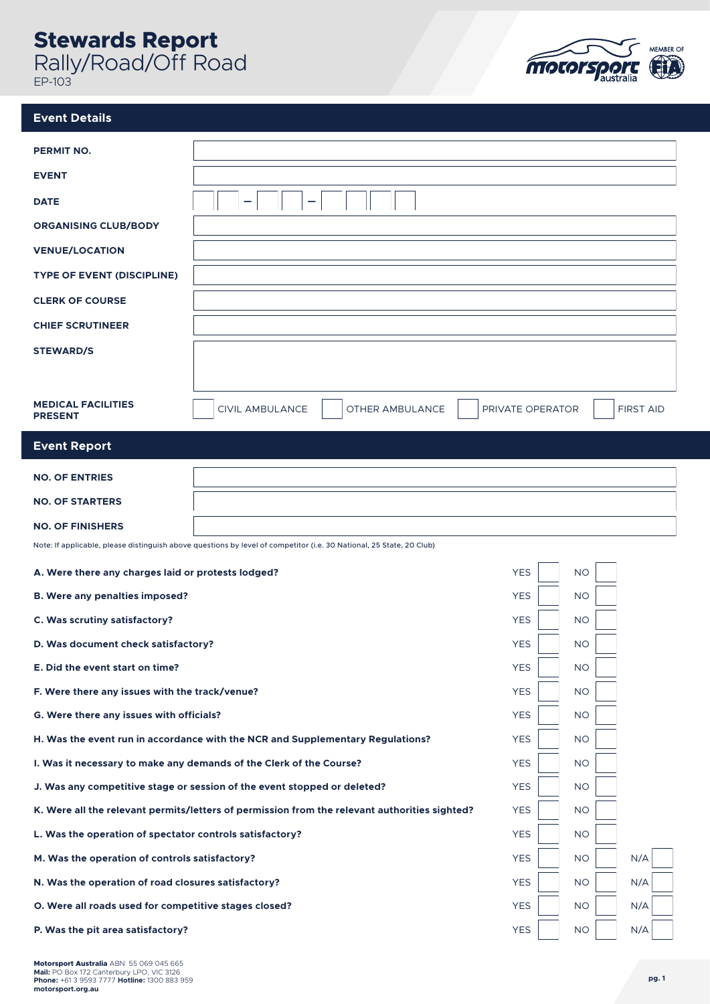## **Stewards Report**

Rally/Road/Off Road EP-103



## **Event Details**

| <b>PERMIT NO.</b>                                                                             |                                                                                                                      |                  |           |                  |
|-----------------------------------------------------------------------------------------------|----------------------------------------------------------------------------------------------------------------------|------------------|-----------|------------------|
| <b>EVENT</b>                                                                                  |                                                                                                                      |                  |           |                  |
| <b>DATE</b>                                                                                   |                                                                                                                      |                  |           |                  |
| <b>ORGANISING CLUB/BODY</b>                                                                   |                                                                                                                      |                  |           |                  |
| <b>VENUE/LOCATION</b>                                                                         |                                                                                                                      |                  |           |                  |
| <b>TYPE OF EVENT (DISCIPLINE)</b>                                                             |                                                                                                                      |                  |           |                  |
| <b>CLERK OF COURSE</b>                                                                        |                                                                                                                      |                  |           |                  |
| <b>CHIEF SCRUTINEER</b>                                                                       |                                                                                                                      |                  |           |                  |
| <b>STEWARD/S</b>                                                                              |                                                                                                                      |                  |           |                  |
|                                                                                               |                                                                                                                      |                  |           |                  |
| <b>MEDICAL FACILITIES</b>                                                                     | <b>CIVIL AMBULANCE</b><br>OTHER AMBULANCE                                                                            | PRIVATE OPERATOR |           | <b>FIRST AID</b> |
| <b>PRESENT</b>                                                                                |                                                                                                                      |                  |           |                  |
| <b>Event Report</b>                                                                           |                                                                                                                      |                  |           |                  |
| <b>NO. OF ENTRIES</b>                                                                         |                                                                                                                      |                  |           |                  |
| <b>NO. OF STARTERS</b>                                                                        |                                                                                                                      |                  |           |                  |
| <b>NO. OF FINISHERS</b>                                                                       |                                                                                                                      |                  |           |                  |
|                                                                                               | Note: If applicable, please distinguish above questions by level of competitor (i.e. 30 National, 25 State, 20 Club) |                  |           |                  |
| A. Were there any charges laid or protests lodged?                                            |                                                                                                                      | <b>YES</b>       | <b>NO</b> |                  |
| <b>B. Were any penalties imposed?</b>                                                         |                                                                                                                      | <b>YES</b>       | <b>NO</b> |                  |
| C. Was scrutiny satisfactory?                                                                 |                                                                                                                      | <b>YES</b>       | <b>NO</b> |                  |
| D. Was document check satisfactory?                                                           |                                                                                                                      | <b>YES</b>       | <b>NO</b> |                  |
| E. Did the event start on time?                                                               |                                                                                                                      | <b>YES</b>       | <b>NO</b> |                  |
| F. Were there any issues with the track/venue?                                                |                                                                                                                      | <b>YES</b>       | <b>NO</b> |                  |
| G. Were there any issues with officials?                                                      |                                                                                                                      | <b>YES</b>       | <b>NO</b> |                  |
| H. Was the event run in accordance with the NCR and Supplementary Regulations?                |                                                                                                                      | <b>YES</b>       | <b>NO</b> |                  |
| I. Was it necessary to make any demands of the Clerk of the Course?                           |                                                                                                                      | <b>YES</b>       | <b>NO</b> |                  |
| J. Was any competitive stage or session of the event stopped or deleted?                      |                                                                                                                      | <b>YES</b>       | <b>NO</b> |                  |
| K. Were all the relevant permits/letters of permission from the relevant authorities sighted? |                                                                                                                      | <b>YES</b>       | <b>NO</b> |                  |
| L. Was the operation of spectator controls satisfactory?                                      |                                                                                                                      | <b>YES</b>       | <b>NO</b> |                  |
| M. Was the operation of controls satisfactory?                                                |                                                                                                                      | <b>YES</b>       | <b>NO</b> | N/A              |
| N. Was the operation of road closures satisfactory?                                           |                                                                                                                      | <b>YES</b>       | <b>NO</b> | N/A              |
| O. Were all roads used for competitive stages closed?                                         |                                                                                                                      | <b>YES</b>       | <b>NO</b> | N/A              |
| P. Was the pit area satisfactory?                                                             |                                                                                                                      | <b>YES</b>       | $NO$      | N/A              |

**Motorsport Australia** ABN: 55 069 045 665 **Mail:** PO Box 172 Canterbury LPO, VIC 3126 **Phone:** +61 3 9593 7777 **Hotline:** 1300 883 959 **motorsport.org.au**